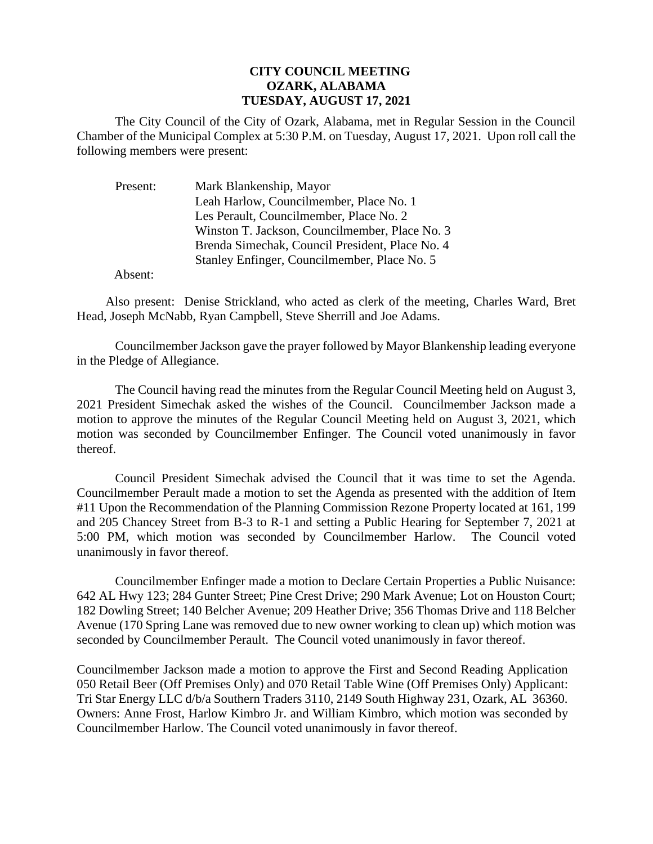## **CITY COUNCIL MEETING OZARK, ALABAMA TUESDAY, AUGUST 17, 2021**

The City Council of the City of Ozark, Alabama, met in Regular Session in the Council Chamber of the Municipal Complex at 5:30 P.M. on Tuesday, August 17, 2021. Upon roll call the following members were present:

| Present: | Mark Blankenship, Mayor                         |
|----------|-------------------------------------------------|
|          | Leah Harlow, Councilmember, Place No. 1         |
|          | Les Perault, Councilmember, Place No. 2         |
|          | Winston T. Jackson, Councilmember, Place No. 3  |
|          | Brenda Simechak, Council President, Place No. 4 |
|          | Stanley Enfinger, Councilmember, Place No. 5    |
|          |                                                 |

Absent:

Also present: Denise Strickland, who acted as clerk of the meeting, Charles Ward, Bret Head, Joseph McNabb, Ryan Campbell, Steve Sherrill and Joe Adams.

CouncilmemberJackson gave the prayer followed by Mayor Blankenship leading everyone in the Pledge of Allegiance.

The Council having read the minutes from the Regular Council Meeting held on August 3, 2021 President Simechak asked the wishes of the Council. Councilmember Jackson made a motion to approve the minutes of the Regular Council Meeting held on August 3, 2021, which motion was seconded by Councilmember Enfinger. The Council voted unanimously in favor thereof.

Council President Simechak advised the Council that it was time to set the Agenda. Councilmember Perault made a motion to set the Agenda as presented with the addition of Item #11 Upon the Recommendation of the Planning Commission Rezone Property located at 161, 199 and 205 Chancey Street from B-3 to R-1 and setting a Public Hearing for September 7, 2021 at 5:00 PM, which motion was seconded by Councilmember Harlow. The Council voted unanimously in favor thereof.

Councilmember Enfinger made a motion to Declare Certain Properties a Public Nuisance: 642 AL Hwy 123; 284 Gunter Street; Pine Crest Drive; 290 Mark Avenue; Lot on Houston Court; 182 Dowling Street; 140 Belcher Avenue; 209 Heather Drive; 356 Thomas Drive and 118 Belcher Avenue (170 Spring Lane was removed due to new owner working to clean up) which motion was seconded by Councilmember Perault. The Council voted unanimously in favor thereof.

Councilmember Jackson made a motion to approve the First and Second Reading Application 050 Retail Beer (Off Premises Only) and 070 Retail Table Wine (Off Premises Only) Applicant: Tri Star Energy LLC d/b/a Southern Traders 3110, 2149 South Highway 231, Ozark, AL 36360. Owners: Anne Frost, Harlow Kimbro Jr. and William Kimbro, which motion was seconded by Councilmember Harlow. The Council voted unanimously in favor thereof.